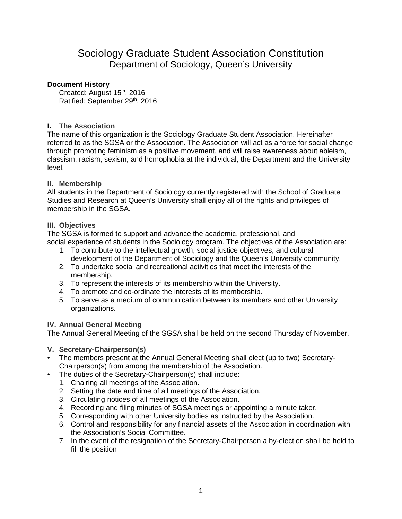# Sociology Graduate Student Association Constitution Department of Sociology, Queen's University

## **Document History**

Created: August 15<sup>th</sup>, 2016 Ratified: September 29th, 2016

## **I. The Association**

The name of this organization is the Sociology Graduate Student Association. Hereinafter referred to as the SGSA or the Association. The Association will act as a force for social change through promoting feminism as a positive movement, and will raise awareness about ableism, classism, racism, sexism, and homophobia at the individual, the Department and the University level.

## **II. Membership**

All students in the Department of Sociology currently registered with the School of Graduate Studies and Research at Queen's University shall enjoy all of the rights and privileges of membership in the SGSA.

## **III. Objectives**

The SGSA is formed to support and advance the academic, professional, and social experience of students in the Sociology program. The objectives of the Association are:

- 1. To contribute to the intellectual growth, social justice objectives, and cultural development of the Department of Sociology and the Queen's University community.
- 2. To undertake social and recreational activities that meet the interests of the membership.
- 3. To represent the interests of its membership within the University.
- 4. To promote and co-ordinate the interests of its membership.
- 5. To serve as a medium of communication between its members and other University organizations.

#### **IV. Annual General Meeting**

The Annual General Meeting of the SGSA shall be held on the second Thursday of November.

- **V. Secretary-Chairperson(s)**
- The members present at the Annual General Meeting shall elect (up to two) Secretary-Chairperson(s) from among the membership of the Association.
- The duties of the Secretary-Chairperson(s) shall include:
	- 1. Chairing all meetings of the Association.
	- 2. Setting the date and time of all meetings of the Association.
	- 3. Circulating notices of all meetings of the Association.
	- 4. Recording and filing minutes of SGSA meetings or appointing a minute taker.
	- 5. Corresponding with other University bodies as instructed by the Association.
	- 6. Control and responsibility for any financial assets of the Association in coordination with the Association's Social Committee.
	- 7. In the event of the resignation of the Secretary-Chairperson a by-election shall be held to fill the position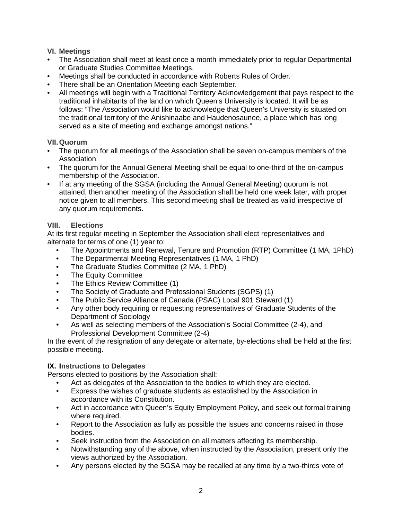## **VI. Meetings**

- The Association shall meet at least once a month immediately prior to regular Departmental or Graduate Studies Committee Meetings.
- Meetings shall be conducted in accordance with Roberts Rules of Order.
- There shall be an Orientation Meeting each September.
- All meetings will begin with a Traditional Territory Acknowledgement that pays respect to the traditional inhabitants of the land on which Queen's University is located. It will be as follows: "The Association would like to acknowledge that Queen's University is situated on the traditional territory of the Anishinaabe and Haudenosaunee, a place which has long served as a site of meeting and exchange amongst nations."

#### **VII.Quorum**

- The quorum for all meetings of the Association shall be seven on-campus members of the Association.
- The quorum for the Annual General Meeting shall be equal to one-third of the on-campus membership of the Association.
- If at any meeting of the SGSA (including the Annual General Meeting) quorum is not attained, then another meeting of the Association shall be held one week later, with proper notice given to all members. This second meeting shall be treated as valid irrespective of any quorum requirements.

## **VIII. Elections**

At its first regular meeting in September the Association shall elect representatives and alternate for terms of one (1) year to:

- The Appointments and Renewal, Tenure and Promotion (RTP) Committee (1 MA, 1PhD)
- The Departmental Meeting Representatives (1 MA, 1 PhD)
- The Graduate Studies Committee (2 MA, 1 PhD)
- The Equity Committee
- The Ethics Review Committee (1)
- The Society of Graduate and Professional Students (SGPS) (1)
- The Public Service Alliance of Canada (PSAC) Local 901 Steward (1)
- Any other body requiring or requesting representatives of Graduate Students of the Department of Sociology
- As well as selecting members of the Association's Social Committee (2-4), and Professional Development Committee (2-4)

In the event of the resignation of any delegate or alternate, by-elections shall be held at the first possible meeting.

# **IX. Instructions to Delegates**

Persons elected to positions by the Association shall:

- Act as delegates of the Association to the bodies to which they are elected.
- Express the wishes of graduate students as established by the Association in accordance with its Constitution.
- Act in accordance with Queen's Equity Employment Policy, and seek out formal training where required.
- Report to the Association as fully as possible the issues and concerns raised in those bodies.
- Seek instruction from the Association on all matters affecting its membership.
- Notwithstanding any of the above, when instructed by the Association, present only the views authorized by the Association.
- Any persons elected by the SGSA may be recalled at any time by a two-thirds vote of